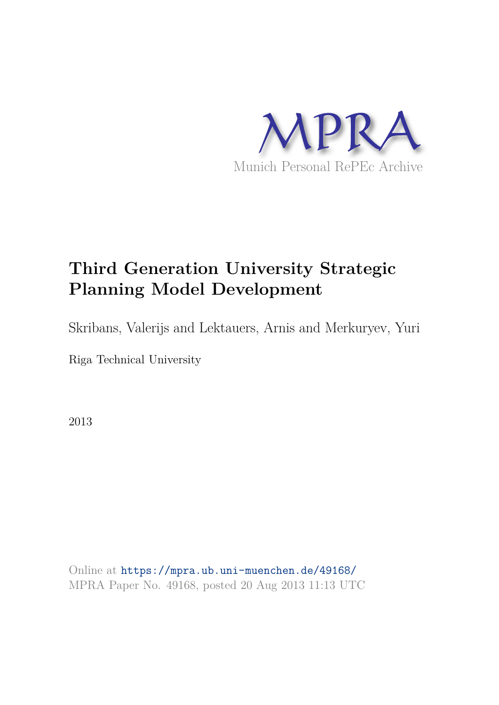

# **Third Generation University Strategic Planning Model Development**

Skribans, Valerijs and Lektauers, Arnis and Merkuryev, Yuri

Riga Technical University

2013

Online at https://mpra.ub.uni-muenchen.de/49168/ MPRA Paper No. 49168, posted 20 Aug 2013 11:13 UTC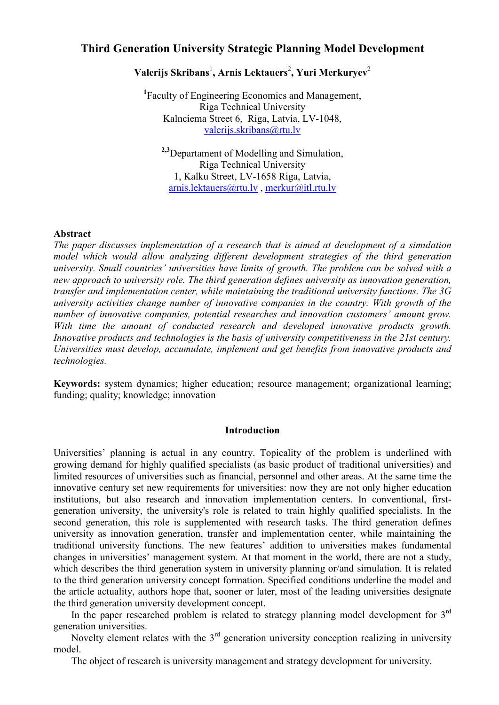# **Third Generation University Strategic Planning Model Development**

# $\bf{V}$ alerijs Skribans $^1$ , Arnis Lektauers $^2$ , Yuri Merkuryev $^2$

<sup>1</sup>Faculty of Engineering Economics and Management, Riga Technical University Kalnciema Street 6, Riga, Latvia, LV-1048, valerijs.skribans@rtu.lv

<sup>2,3</sup>Departament of Modelling and Simulation, Riga Technical University 1, Kalku Street, LV-1658 Riga, Latvia,  $arnis.$  lektauers  $@rtu.$  lv, merkur $@itl.$ rtu. lv

# **Abstract**

*The paper discusses implementation of a research that is aimed at development of a simulation model which would allow analyzing different development strategies of the third generation university. Small countries' universities have limits of growth. The problem can be solved with a new approach to university role. The third generation defines university as innovation generation, transfer and implementation center, while maintaining the traditional university functions. The 3G university activities change number of innovative companies in the country. With growth of the number of innovative companies, potential researches and innovation customers' amount grow. With time the amount of conducted research and developed innovative products growth. Innovative products and technologies is the basis of university competitiveness in the 21st century. Universities must develop, accumulate, implement and get benefits from innovative products and technologies.* 

**Keywords:** system dynamics; higher education; resource management; organizational learning; funding; quality; knowledge; innovation

#### **Introduction**

Universities' planning is actual in any country. Topicality of the problem is underlined with growing demand for highly qualified specialists (as basic product of traditional universities) and limited resources of universities such as financial, personnel and other areas. At the same time the innovative century set new requirements for universities: now they are not only higher education institutions, but also research and innovation implementation centers. In conventional, firstgeneration university, the university's role is related to train highly qualified specialists. In the second generation, this role is supplemented with research tasks. The third generation defines university as innovation generation, transfer and implementation center, while maintaining the traditional university functions. The new features' addition to universities makes fundamental changes in universities' management system. At that moment in the world, there are not a study, which describes the third generation system in university planning or/and simulation. It is related to the third generation university concept formation. Specified conditions underline the model and the article actuality, authors hope that, sooner or later, most of the leading universities designate the third generation university development concept.

In the paper researched problem is related to strategy planning model development for  $3<sup>rd</sup>$ generation universities.

Novelty element relates with the  $3<sup>rd</sup>$  generation university conception realizing in university model.

The object of research is university management and strategy development for university.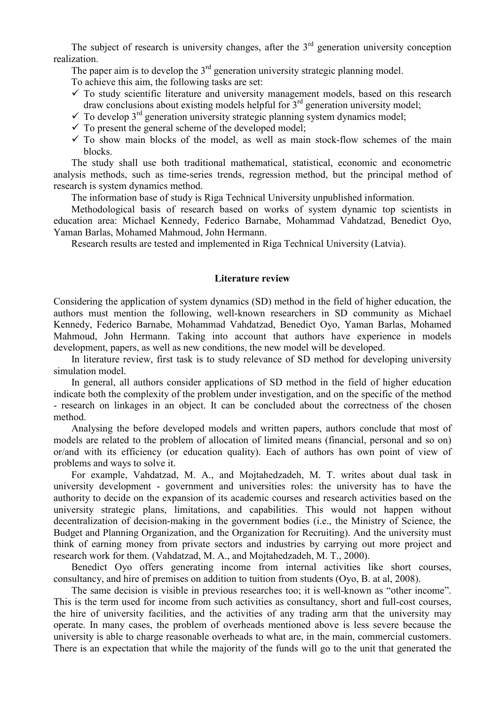The subject of research is university changes, after the  $3<sup>rd</sup>$  generation university conception realization.

The paper aim is to develop the  $3<sup>rd</sup>$  generation university strategic planning model. To achieve this aim, the following tasks are set:

- $\checkmark$  To study scientific literature and university management models, based on this research draw conclusions about existing models helpful for  $3<sup>rd</sup>$  generation university model;
- $\checkmark$  To develop 3<sup>rd</sup> generation university strategic planning system dynamics model;
- $\checkmark$  To present the general scheme of the developed model;
- $\checkmark$  To show main blocks of the model, as well as main stock-flow schemes of the main blocks.

The study shall use both traditional mathematical, statistical, economic and econometric analysis methods, such as time-series trends, regression method, but the principal method of research is system dynamics method.

The information base of study is Riga Technical University unpublished information.

Methodological basis of research based on works of system dynamic top scientists in education area: Michael Kennedy, Federico Barnabe, Mohammad Vahdatzad, Benedict Ovo, Yaman Barlas, Mohamed Mahmoud, John Hermann.

Research results are tested and implemented in Riga Technical University (Latvia).

#### **Literature review**

Considering the application of system dynamics (SD) method in the field of higher education, the authors must mention the following, well-known researchers in SD community as Michael Kennedy, Federico Barnabe, Mohammad Vahdatzad, Benedict Oyo, Yaman Barlas, Mohamed Mahmoud, John Hermann. Taking into account that authors have experience in models development, papers, as well as new conditions, the new model will be developed.

In literature review, first task is to study relevance of SD method for developing university simulation model.

In general, all authors consider applications of SD method in the field of higher education indicate both the complexity of the problem under investigation, and on the specific of the method - research on linkages in an object. It can be concluded about the correctness of the chosen method.

Analysing the before developed models and written papers, authors conclude that most of models are related to the problem of allocation of limited means (financial, personal and so on) or/and with its efficiency (or education quality). Each of authors has own point of view of problems and ways to solve it.

For example, Vahdatzad, M. A., and Mojtahedzadeh, M. T. writes about dual task in university development - government and universities roles: the university has to have the authority to decide on the expansion of its academic courses and research activities based on the university strategic plans, limitations, and capabilities. This would not happen without decentralization of decision-making in the government bodies (i.e., the Ministry of Science, the Budget and Planning Organization, and the Organization for Recruiting). And the university must think of earning money from private sectors and industries by carrying out more project and research work for them. (Vahdatzad, M. A., and Moitahedzadeh, M. T., 2000).

Benedict Ovo offers generating income from internal activities like short courses, consultancy, and hire of premises on addition to tuition from students (Oyo, B. at al, 2008).

The same decision is visible in previous researches too; it is well-known as "other income". This is the term used for income from such activities as consultancy, short and full-cost courses, the hire of university facilities, and the activities of any trading arm that the university may operate. In many cases, the problem of overheads mentioned above is less severe because the university is able to charge reasonable overheads to what are, in the main, commercial customers. There is an expectation that while the majority of the funds will go to the unit that generated the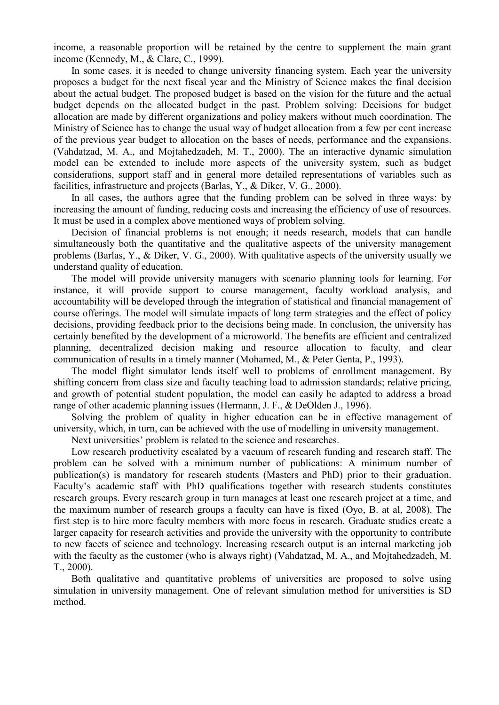income, a reasonable proportion will be retained by the centre to supplement the main grant income (Kennedy, M., & Clare, C., 1999).

In some cases, it is needed to change university financing system. Each year the university proposes a budget for the next fiscal year and the Ministry of Science makes the final decision about the actual budget. The proposed budget is based on the vision for the future and the actual budget depends on the allocated budget in the past. Problem solving: Decisions for budget allocation are made by different organizations and policy makers without much coordination. The Ministry of Science has to change the usual way of budget allocation from a few per cent increase of the previous year budget to allocation on the bases of needs, performance and the expansions. (Vahdatzad, M. A., and Mojtahedzadeh, M. T., 2000). The an interactive dynamic simulation model can be extended to include more aspects of the university system, such as budget considerations, support staff and in general more detailed representations of variables such as facilities, infrastructure and projects (Barlas, Y., & Diker, V. G., 2000).

In all cases, the authors agree that the funding problem can be solved in three wavs: by increasing the amount of funding, reducing costs and increasing the efficiency of use of resources. It must be used in a complex above mentioned ways of problem solving.

Decision of financial problems is not enough; it needs research, models that can handle simultaneously both the quantitative and the qualitative aspects of the university management problems (Barlas, Y., & Diker, V. G., 2000). With qualitative aspects of the university usually we understand quality of education.

The model will provide university managers with scenario planning tools for learning. For instance, it will provide support to course management, faculty workload analysis, and accountability will be developed through the integration of statistical and financial management of course offerings. The model will simulate impacts of long term strategies and the effect of policy decisions, providing feedback prior to the decisions being made. In conclusion, the university has certainly benefited by the development of a microworld. The benefits are efficient and centralized planning, decentralized decision making and resource allocation to faculty, and clear communication of results in a timely manner (Mohamed, M., & Peter Genta, P., 1993).

The model flight simulator lends itself well to problems of enrollment management. By shifting concern from class size and faculty teaching load to admission standards: relative pricing. and growth of potential student population, the model can easily be adapted to address a broad range of other academic planning issues (Hermann, J. F., & DeOlden J., 1996).

Solving the problem of quality in higher education can be in effective management of university, which, in turn, can be achieved with the use of modelling in university management.

Next universities' problem is related to the science and researches.

Low research productivity escalated by a vacuum of research funding and research staff. The problem can be solved with a minimum number of publications: A minimum number of publication(s) is mandatory for research students (Masters and PhD) prior to their graduation. Faculty's academic staff with PhD qualifications together with research students constitutes research groups. Every research group in turn manages at least one research project at a time, and the maximum number of research groups a faculty can have is fixed (Oyo, B. at al. 2008). The first step is to hire more faculty members with more focus in research. Graduate studies create a larger capacity for research activities and provide the university with the opportunity to contribute to new facets of science and technology. Increasing research output is an internal marketing job with the faculty as the customer (who is always right) (Vahdatzad, M. A., and Mojtahedzadeh, M.  $T_{.} 2000$ ).

Both qualitative and quantitative problems of universities are proposed to solve using simulation in university management. One of relevant simulation method for universities is SD method.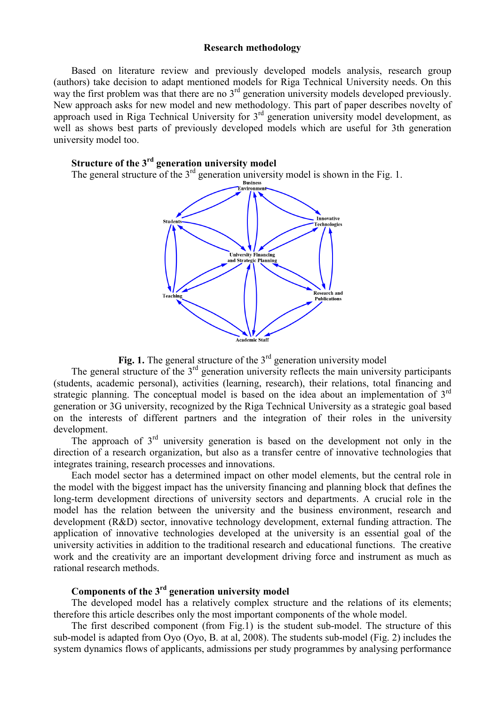#### **Research methodology**

Based on literature review and previously developed models analysis, research group (authors) take decision to adapt mentioned models for Riga Technical University needs. On this way the first problem was that there are no  $3<sup>rd</sup>$  generation university models developed previously. New approach asks for new model and new methodology. This part of paper describes novelty of approach used in Riga Technical University for 3<sup>rd</sup> generation university model development, as well as shows best parts of previously developed models which are useful for 3th generation university model too.

# Structure of the  $3<sup>rd</sup>$  generation university model

The general structure of the  $3^{rd}$  generation university model is shown in the Fig. 1.



**Fig. 1.** The general structure of the  $3^{rd}$  generation university model<br>The general structure of the  $3^{rd}$  generation university reflects the main university participants (students, academic personal), activities (learning, research), their relations, total financing and strategic planning. The conceptual model is based on the idea about an implementation of  $3<sup>rd</sup>$ generation or 3G university, recognized by the Riga Technical University as a strategic goal based on the interests of different partners and the integration of their roles in the university development

The approach of  $3<sup>rd</sup>$  university generation is based on the development not only in the direction of a research organization, but also as a transfer centre of innovative technologies that integrates training, research processes and innovations.

Each model sector has a determined impact on other model elements, but the central role in the model with the biggest impact has the university financing and planning block that defines the long-term development directions of university sectors and departments. A crucial role in the model has the relation between the university and the business environment, research and development (R&D) sector, innovative technology development, external funding attraction. The application of innovative technologies developed at the university is an essential goal of the university activities in addition to the traditional research and educational functions. The creative work and the creativity are an important development driving force and instrument as much as rational research methods.

# Components of the 3<sup>rd</sup> generation university model

The developed model has a relatively complex structure and the relations of its elements: therefore this article describes only the most important components of the whole model.

The first described component (from Fig.1) is the student sub-model. The structure of this sub-model is adapted from Oyo (Oyo, B. at al, 2008). The students sub-model (Fig. 2) includes the system dynamics flows of applicants, admissions per study programmes by analysing performance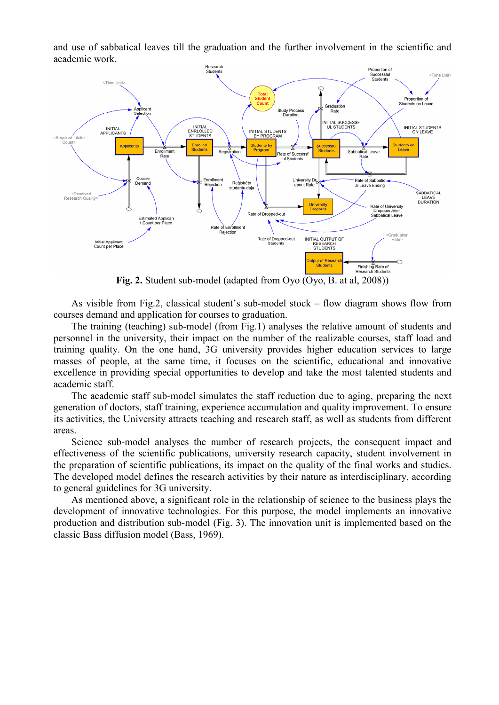and use of sabbatical leaves till the graduation and the further involvement in the scientific and academic work.



Fig. 2. Student sub-model (adapted from Oyo (Oyo, B. at al. 2008))

As visible from Fig.2, classical student's sub-model stock – flow diagram shows flow from courses demand and application for courses to graduation.

The training (teaching) sub-model (from Fig.1) analyses the relative amount of students and personnel in the university, their impact on the number of the realizable courses, staff load and training quality. On the one hand, 3G university provides higher education services to large masses of people, at the same time, it focuses on the scientific, educational and innovative excellence in providing special opportunities to develop and take the most talented students and academic staff.

The academic staff sub-model simulates the staff reduction due to aging, preparing the next generation of doctors, staff training, experience accumulation and quality improvement. To ensure its activities, the University attracts teaching and research staff, as well as students from different areas.

Science sub-model analyses the number of research projects, the consequent impact and effectiveness of the scientific publications, university research capacity, student involvement in the preparation of scientific publications, its impact on the quality of the final works and studies. The developed model defines the research activities by their nature as interdisciplinary, according to general guidelines for 3G university.

As mentioned above, a significant role in the relationship of science to the business plays the development of innovative technologies. For this purpose, the model implements an innovative production and distribution sub-model (Fig. 3). The innovation unit is implemented based on the classic Bass diffusion model (Bass, 1969).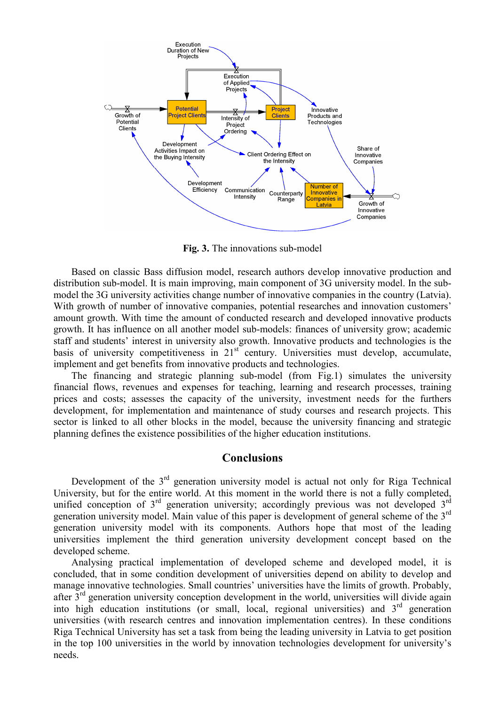

Fig. 3. The innovations sub-model

Based on classic Bass diffusion model, research authors develop innovative production and distribution sub-model. It is main improving, main component of 3G university model. In the submodel the 3G university activities change number of innovative companies in the country (Latvia). With growth of number of innovative companies, potential researches and innovation customers' amount growth. With time the amount of conducted research and developed innovative products growth. It has influence on all another model sub-models: finances of university grow; academic staff and students' interest in university also growth. Innovative products and technologies is the basis of university competitiveness in 21<sup>st</sup> century. Universities must develop, accumulate, implement and get benefits from innovative products and technologies.

The financing and strategic planning sub-model (from Fig.1) simulates the university financial flows, revenues and expenses for teaching, learning and research processes, training prices and costs: assesses the capacity of the university, investment needs for the furthers development, for implementation and maintenance of study courses and research projects. This sector is linked to all other blocks in the model, because the university financing and strategic planning defines the existence possibilities of the higher education institutions.

# **Conclusions**

Development of the  $3<sup>rd</sup>$  generation university model is actual not only for Riga Technical University, but for the entire world. At this moment in the world there is not a fully completed. unified conception of  $3<sup>rd</sup>$  generation university; accordingly previous was not developed  $3<sup>rd</sup>$ generation university model. Main value of this paper is development of general scheme of the 3<sup>rd</sup> generation university model with its components. Authors hope that most of the leading universities implement the third generation university development concept based on the developed scheme.

Analysing practical implementation of developed scheme and developed model, it is concluded, that in some condition development of universities depend on ability to develop and manage innovative technologies. Small countries' universities have the limits of growth. Probably, after  $3<sup>rd</sup>$  generation university conception development in the world, universities will divide again into high education institutions (or small, local, regional universities) and  $3<sup>rd</sup>$  generation universities (with research centres and innovation implementation centres). In these conditions Riga Technical University has set a task from being the leading university in Latvia to get position in the top 100 universities in the world by innovation technologies development for university's needs.